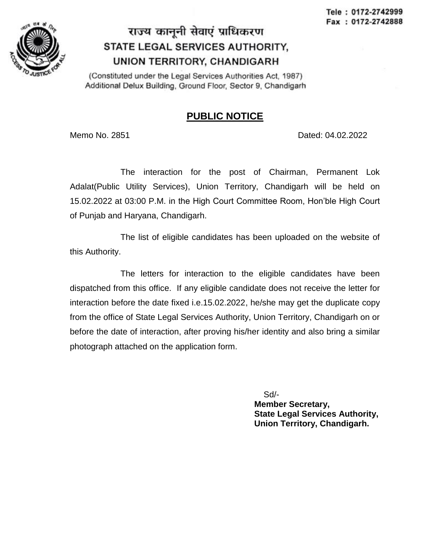

## राज्य कानुनी सेवाएं प्राधिकरण STATE LEGAL SERVICES AUTHORITY, UNION TERRITORY, CHANDIGARH

(Constituted under the Legal Services Authorities Act, 1987) Additional Delux Building, Ground Floor, Sector 9, Chandigarh

## **PUBLIC NOTICE**

Memo No. 2851 Dated: 04.02.2022

The interaction for the post of Chairman, Permanent Lok Adalat(Public Utility Services), Union Territory, Chandigarh will be held on 15.02.2022 at 03:00 P.M. in the High Court Committee Room, Hon'ble High Court of Punjab and Haryana, Chandigarh.

The list of eligible candidates has been uploaded on the website of this Authority.

The letters for interaction to the eligible candidates have been dispatched from this office. If any eligible candidate does not receive the letter for interaction before the date fixed i.e.15.02.2022, he/she may get the duplicate copy from the office of State Legal Services Authority, Union Territory, Chandigarh on or before the date of interaction, after proving his/her identity and also bring a similar photograph attached on the application form.

Sd/-

 **Member Secretary, State Legal Services Authority, Union Territory, Chandigarh.**